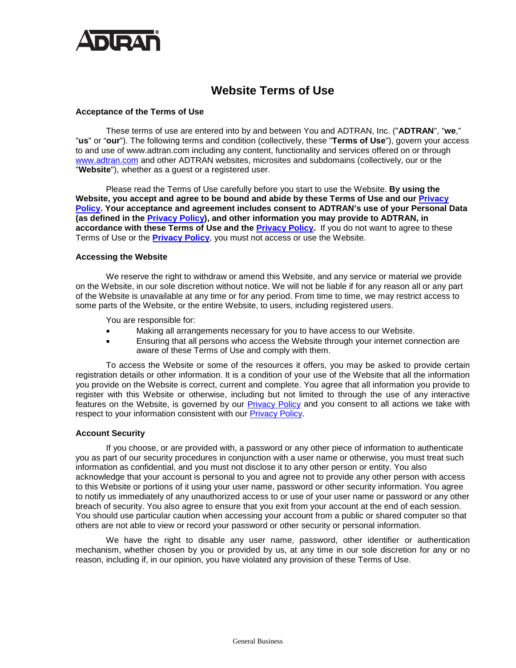

# **Website Terms of Use**

#### **Acceptance of the Terms of Use**

These terms of use are entered into by and between You and ADTRAN, Inc. ("**ADTRAN**", "**we**," "**us**" or "**our**"). The following terms and condition (collectively, these "**Terms of Use**"), govern your access to and use of www.adtran.com including any content, functionality and services offered on or through [www.adtran.com](https://www.adtran.com/) and other ADTRAN websites, microsites and subdomains (collectively, our or the "**Website**"), whether as a guest or a registered user.

Please read the Terms of Use carefully before you start to use the Website. **By using the Website, you accept and agree to be bound and abide by these Terms of Use and our [Privacy](https://www.adtran.com/privacy)  [Policy.](https://www.adtran.com/privacy) Your acceptance and agreement includes consent to ADTRAN's use of your Personal Data (as defined in the [Privacy Policy\)](https://www.adtran.com/privacy), and other information you may provide to ADTRAN, in accordance with these Terms of Use and the [Privacy Policy.](https://www.adtran.com/privacy)** If you do not want to agree to these Terms of Use or the **[Privacy Policy](https://www.adtran.com/privacy)**, you must not access or use the Website.

#### **Accessing the Website**

We reserve the right to withdraw or amend this Website, and any service or material we provide on the Website, in our sole discretion without notice. We will not be liable if for any reason all or any part of the Website is unavailable at any time or for any period. From time to time, we may restrict access to some parts of the Website, or the entire Website, to users, including registered users.

You are responsible for:

- Making all arrangements necessary for you to have access to our Website.
- Ensuring that all persons who access the Website through your internet connection are aware of these Terms of Use and comply with them.

To access the Website or some of the resources it offers, you may be asked to provide certain registration details or other information. It is a condition of your use of the Website that all the information you provide on the Website is correct, current and complete. You agree that all information you provide to register with this Website or otherwise, including but not limited to through the use of any interactive features on the Website, is governed by our [Privacy Policy](https://www.adtran.com/privacy) and you consent to all actions we take with respect to your information consistent with our [Privacy Policy.](https://www.adtran.com/privacy)

## **Account Security**

If you choose, or are provided with, a password or any other piece of information to authenticate you as part of our security procedures in conjunction with a user name or otherwise, you must treat such information as confidential, and you must not disclose it to any other person or entity. You also acknowledge that your account is personal to you and agree not to provide any other person with access to this Website or portions of it using your user name, password or other security information. You agree to notify us immediately of any unauthorized access to or use of your user name or password or any other breach of security. You also agree to ensure that you exit from your account at the end of each session. You should use particular caution when accessing your account from a public or shared computer so that others are not able to view or record your password or other security or personal information.

We have the right to disable any user name, password, other identifier or authentication mechanism, whether chosen by you or provided by us, at any time in our sole discretion for any or no reason, including if, in our opinion, you have violated any provision of these Terms of Use.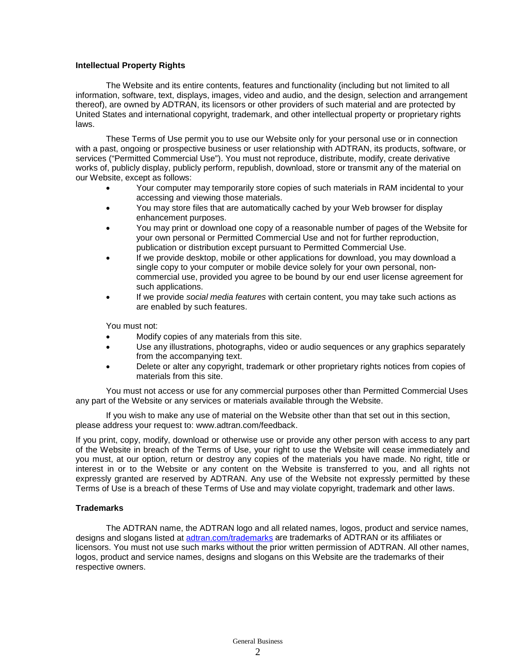# **Intellectual Property Rights**

The Website and its entire contents, features and functionality (including but not limited to all information, software, text, displays, images, video and audio, and the design, selection and arrangement thereof), are owned by ADTRAN, its licensors or other providers of such material and are protected by United States and international copyright, trademark, and other intellectual property or proprietary rights laws.

These Terms of Use permit you to use our Website only for your personal use or in connection with a past, ongoing or prospective business or user relationship with ADTRAN, its products, software, or services ("Permitted Commercial Use"). You must not reproduce, distribute, modify, create derivative works of, publicly display, publicly perform, republish, download, store or transmit any of the material on our Website, except as follows:

- Your computer may temporarily store copies of such materials in RAM incidental to your accessing and viewing those materials.
- You may store files that are automatically cached by your Web browser for display enhancement purposes.
- You may print or download one copy of a reasonable number of pages of the Website for your own personal or Permitted Commercial Use and not for further reproduction, publication or distribution except pursuant to Permitted Commercial Use.
- If we provide desktop, mobile or other applications for download, you may download a single copy to your computer or mobile device solely for your own personal, noncommercial use, provided you agree to be bound by our end user license agreement for such applications.
- If we provide *social media features* with certain content, you may take such actions as are enabled by such features.

You must not:

- Modify copies of any materials from this site.
- Use any illustrations, photographs, video or audio sequences or any graphics separately from the accompanying text.
- Delete or alter any copyright, trademark or other proprietary rights notices from copies of materials from this site.

You must not access or use for any commercial purposes other than Permitted Commercial Uses any part of the Website or any services or materials available through the Website.

If you wish to make any use of material on the Website other than that set out in this section, please address your request to: www.adtran.com/feedback.

If you print, copy, modify, download or otherwise use or provide any other person with access to any part of the Website in breach of the Terms of Use, your right to use the Website will cease immediately and you must, at our option, return or destroy any copies of the materials you have made. No right, title or interest in or to the Website or any content on the Website is transferred to you, and all rights not expressly granted are reserved by ADTRAN. Any use of the Website not expressly permitted by these Terms of Use is a breach of these Terms of Use and may violate copyright, trademark and other laws.

## **Trademarks**

The ADTRAN name, the ADTRAN logo and all related names, logos, product and service names, designs and slogans listed at [adtran.com/trademarks](https://www.adtran.com/trademarks) are trademarks of ADTRAN or its affiliates or licensors. You must not use such marks without the prior written permission of ADTRAN. All other names, logos, product and service names, designs and slogans on this Website are the trademarks of their respective owners.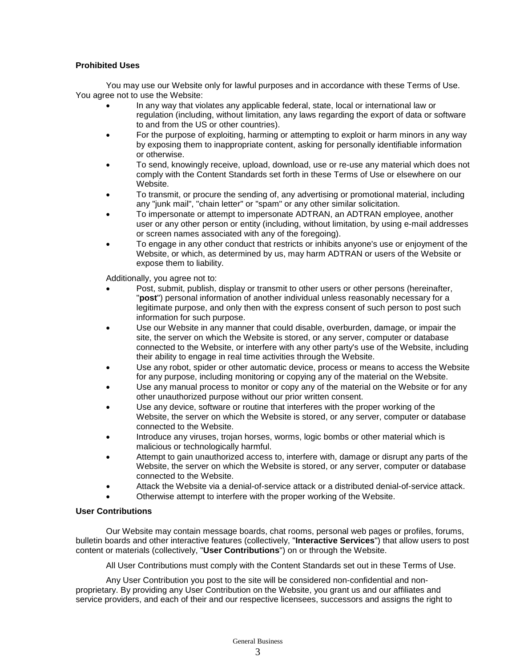# **Prohibited Uses**

You may use our Website only for lawful purposes and in accordance with these Terms of Use. You agree not to use the Website:

- In any way that violates any applicable federal, state, local or international law or regulation (including, without limitation, any laws regarding the export of data or software to and from the US or other countries).
- For the purpose of exploiting, harming or attempting to exploit or harm minors in any way by exposing them to inappropriate content, asking for personally identifiable information or otherwise.
- To send, knowingly receive, upload, download, use or re-use any material which does not comply with the Content Standards set forth in these Terms of Use or elsewhere on our **Website**
- To transmit, or procure the sending of, any advertising or promotional material, including any "junk mail", "chain letter" or "spam" or any other similar solicitation.
- To impersonate or attempt to impersonate ADTRAN, an ADTRAN employee, another user or any other person or entity (including, without limitation, by using e-mail addresses or screen names associated with any of the foregoing).
- To engage in any other conduct that restricts or inhibits anyone's use or enjoyment of the Website, or which, as determined by us, may harm ADTRAN or users of the Website or expose them to liability.

Additionally, you agree not to:

- Post, submit, publish, display or transmit to other users or other persons (hereinafter, "**post**") personal information of another individual unless reasonably necessary for a legitimate purpose, and only then with the express consent of such person to post such information for such purpose.
- Use our Website in any manner that could disable, overburden, damage, or impair the site, the server on which the Website is stored, or any server, computer or database connected to the Website, or interfere with any other party's use of the Website, including their ability to engage in real time activities through the Website.
- Use any robot, spider or other automatic device, process or means to access the Website for any purpose, including monitoring or copying any of the material on the Website.
- Use any manual process to monitor or copy any of the material on the Website or for any other unauthorized purpose without our prior written consent.
- Use any device, software or routine that interferes with the proper working of the Website, the server on which the Website is stored, or any server, computer or database connected to the Website.
- Introduce any viruses, trojan horses, worms, logic bombs or other material which is malicious or technologically harmful.
- Attempt to gain unauthorized access to, interfere with, damage or disrupt any parts of the Website, the server on which the Website is stored, or any server, computer or database connected to the Website.
- Attack the Website via a denial-of-service attack or a distributed denial-of-service attack.
- Otherwise attempt to interfere with the proper working of the Website.

# **User Contributions**

Our Website may contain message boards, chat rooms, personal web pages or profiles, forums, bulletin boards and other interactive features (collectively, "**Interactive Services**") that allow users to post content or materials (collectively, "**User Contributions**") on or through the Website.

All User Contributions must comply with the Content Standards set out in these Terms of Use.

Any User Contribution you post to the site will be considered non-confidential and nonproprietary. By providing any User Contribution on the Website, you grant us and our affiliates and service providers, and each of their and our respective licensees, successors and assigns the right to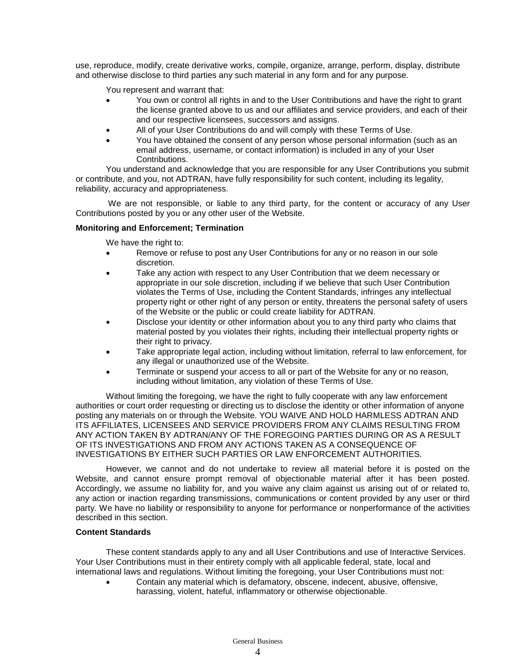use, reproduce, modify, create derivative works, compile, organize, arrange, perform, display, distribute and otherwise disclose to third parties any such material in any form and for any purpose.

You represent and warrant that:

- You own or control all rights in and to the User Contributions and have the right to grant the license granted above to us and our affiliates and service providers, and each of their and our respective licensees, successors and assigns.
- All of your User Contributions do and will comply with these Terms of Use.
- You have obtained the consent of any person whose personal information (such as an email address, username, or contact information) is included in any of your User Contributions.

You understand and acknowledge that you are responsible for any User Contributions you submit or contribute, and you, not ADTRAN, have fully responsibility for such content, including its legality, reliability, accuracy and appropriateness.

We are not responsible, or liable to any third party, for the content or accuracy of any User Contributions posted by you or any other user of the Website.

## **Monitoring and Enforcement; Termination**

We have the right to:

- Remove or refuse to post any User Contributions for any or no reason in our sole discretion.
- Take any action with respect to any User Contribution that we deem necessary or appropriate in our sole discretion, including if we believe that such User Contribution violates the Terms of Use, including the Content Standards, infringes any intellectual property right or other right of any person or entity, threatens the personal safety of users of the Website or the public or could create liability for ADTRAN.
- Disclose your identity or other information about you to any third party who claims that material posted by you violates their rights, including their intellectual property rights or their right to privacy.
- Take appropriate legal action, including without limitation, referral to law enforcement, for any illegal or unauthorized use of the Website.
- Terminate or suspend your access to all or part of the Website for any or no reason, including without limitation, any violation of these Terms of Use.

Without limiting the foregoing, we have the right to fully cooperate with any law enforcement authorities or court order requesting or directing us to disclose the identity or other information of anyone posting any materials on or through the Website. YOU WAIVE AND HOLD HARMLESS ADTRAN AND ITS AFFILIATES, LICENSEES AND SERVICE PROVIDERS FROM ANY CLAIMS RESULTING FROM ANY ACTION TAKEN BY ADTRAN/ANY OF THE FOREGOING PARTIES DURING OR AS A RESULT OF ITS INVESTIGATIONS AND FROM ANY ACTIONS TAKEN AS A CONSEQUENCE OF INVESTIGATIONS BY EITHER SUCH PARTIES OR LAW ENFORCEMENT AUTHORITIES.

However, we cannot and do not undertake to review all material before it is posted on the Website, and cannot ensure prompt removal of objectionable material after it has been posted. Accordingly, we assume no liability for, and you waive any claim against us arising out of or related to, any action or inaction regarding transmissions, communications or content provided by any user or third party. We have no liability or responsibility to anyone for performance or nonperformance of the activities described in this section.

## **Content Standards**

These content standards apply to any and all User Contributions and use of Interactive Services. Your User Contributions must in their entirety comply with all applicable federal, state, local and international laws and regulations. Without limiting the foregoing, your User Contributions must not:

• Contain any material which is defamatory, obscene, indecent, abusive, offensive, harassing, violent, hateful, inflammatory or otherwise objectionable.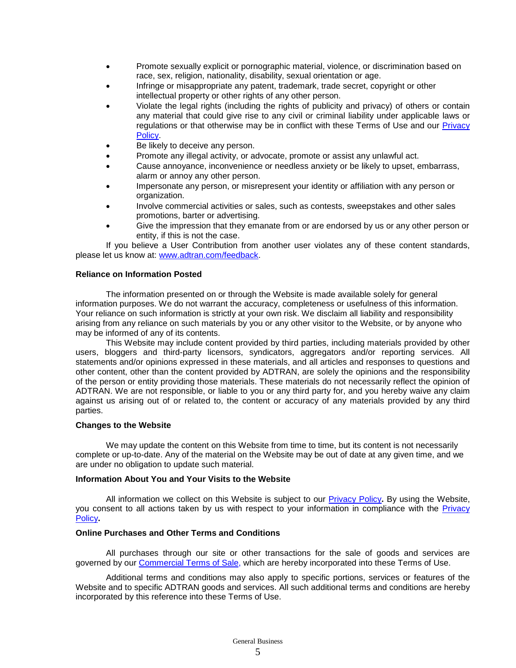- Promote sexually explicit or pornographic material, violence, or discrimination based on race, sex, religion, nationality, disability, sexual orientation or age.
- Infringe or misappropriate any patent, trademark, trade secret, copyright or other intellectual property or other rights of any other person.
- Violate the legal rights (including the rights of publicity and privacy) of others or contain any material that could give rise to any civil or criminal liability under applicable laws or regulations or that otherwise may be in conflict with these Terms of Use and our [Privacy](https://www.adtran.com/privacy)  [Policy.](https://www.adtran.com/privacy)
- Be likely to deceive any person.
- Promote any illegal activity, or advocate, promote or assist any unlawful act.
- Cause annoyance, inconvenience or needless anxiety or be likely to upset, embarrass, alarm or annoy any other person.
- Impersonate any person, or misrepresent your identity or affiliation with any person or organization.
- Involve commercial activities or sales, such as contests, sweepstakes and other sales promotions, barter or advertising.
- Give the impression that they emanate from or are endorsed by us or any other person or entity, if this is not the case.

If you believe a User Contribution from another user violates any of these content standards, please let us know at: [www.adtran.com/feedback.](http://www.adtran.com/feedback)

## **Reliance on Information Posted**

The information presented on or through the Website is made available solely for general information purposes. We do not warrant the accuracy, completeness or usefulness of this information. Your reliance on such information is strictly at your own risk. We disclaim all liability and responsibility arising from any reliance on such materials by you or any other visitor to the Website, or by anyone who may be informed of any of its contents.

This Website may include content provided by third parties, including materials provided by other users, bloggers and third-party licensors, syndicators, aggregators and/or reporting services. All statements and/or opinions expressed in these materials, and all articles and responses to questions and other content, other than the content provided by ADTRAN, are solely the opinions and the responsibility of the person or entity providing those materials. These materials do not necessarily reflect the opinion of ADTRAN. We are not responsible, or liable to you or any third party for, and you hereby waive any claim against us arising out of or related to, the content or accuracy of any materials provided by any third parties.

#### **Changes to the Website**

We may update the content on this Website from time to time, but its content is not necessarily complete or up-to-date. Any of the material on the Website may be out of date at any given time, and we are under no obligation to update such material.

## **Information About You and Your Visits to the Website**

All information we collect on this Website is subject to our [Privacy Policy](https://www.adtran.com/privacy)**.** By using the Website, you consent to all actions taken by us with respect to your information in compliance with the **Privacy** [Policy](https://www.adtran.com/privacy)**.**

## **Online Purchases and Other Terms and Conditions**

All purchases through our site or other transactions for the sale of goods and services are governed by our [Commercial Terms of Sale,](https://www.adtran.com/cts) which are hereby incorporated into these Terms of Use.

Additional terms and conditions may also apply to specific portions, services or features of the Website and to specific ADTRAN goods and services. All such additional terms and conditions are hereby incorporated by this reference into these Terms of Use.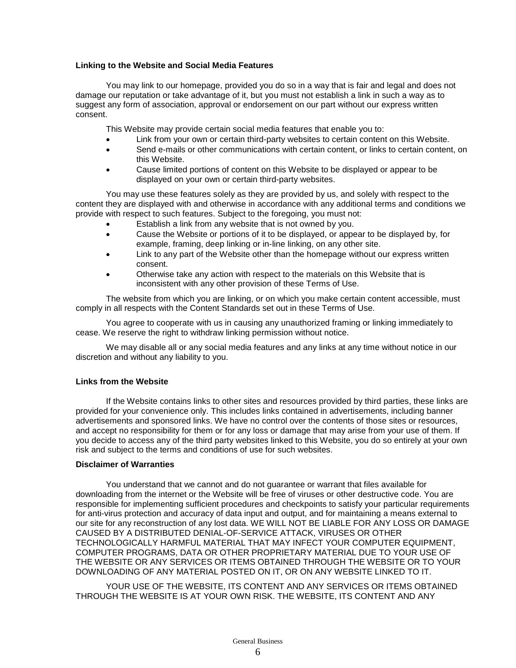# **Linking to the Website and Social Media Features**

You may link to our homepage, provided you do so in a way that is fair and legal and does not damage our reputation or take advantage of it, but you must not establish a link in such a way as to suggest any form of association, approval or endorsement on our part without our express written consent.

This Website may provide certain social media features that enable you to:

- Link from your own or certain third-party websites to certain content on this Website.
- Send e-mails or other communications with certain content, or links to certain content, on this Website.
- Cause limited portions of content on this Website to be displayed or appear to be displayed on your own or certain third-party websites.

You may use these features solely as they are provided by us, and solely with respect to the content they are displayed with and otherwise in accordance with any additional terms and conditions we provide with respect to such features. Subject to the foregoing, you must not:

- Establish a link from any website that is not owned by you.
- Cause the Website or portions of it to be displayed, or appear to be displayed by, for example, framing, deep linking or in-line linking, on any other site.
- Link to any part of the Website other than the homepage without our express written consent.
- Otherwise take any action with respect to the materials on this Website that is inconsistent with any other provision of these Terms of Use.

The website from which you are linking, or on which you make certain content accessible, must comply in all respects with the Content Standards set out in these Terms of Use.

You agree to cooperate with us in causing any unauthorized framing or linking immediately to cease. We reserve the right to withdraw linking permission without notice.

We may disable all or any social media features and any links at any time without notice in our discretion and without any liability to you.

# **Links from the Website**

If the Website contains links to other sites and resources provided by third parties, these links are provided for your convenience only. This includes links contained in advertisements, including banner advertisements and sponsored links. We have no control over the contents of those sites or resources, and accept no responsibility for them or for any loss or damage that may arise from your use of them. If you decide to access any of the third party websites linked to this Website, you do so entirely at your own risk and subject to the terms and conditions of use for such websites.

## **Disclaimer of Warranties**

You understand that we cannot and do not guarantee or warrant that files available for downloading from the internet or the Website will be free of viruses or other destructive code. You are responsible for implementing sufficient procedures and checkpoints to satisfy your particular requirements for anti-virus protection and accuracy of data input and output, and for maintaining a means external to our site for any reconstruction of any lost data. WE WILL NOT BE LIABLE FOR ANY LOSS OR DAMAGE CAUSED BY A DISTRIBUTED DENIAL-OF-SERVICE ATTACK, VIRUSES OR OTHER TECHNOLOGICALLY HARMFUL MATERIAL THAT MAY INFECT YOUR COMPUTER EQUIPMENT, COMPUTER PROGRAMS, DATA OR OTHER PROPRIETARY MATERIAL DUE TO YOUR USE OF THE WEBSITE OR ANY SERVICES OR ITEMS OBTAINED THROUGH THE WEBSITE OR TO YOUR DOWNLOADING OF ANY MATERIAL POSTED ON IT, OR ON ANY WEBSITE LINKED TO IT.

YOUR USE OF THE WEBSITE, ITS CONTENT AND ANY SERVICES OR ITEMS OBTAINED THROUGH THE WEBSITE IS AT YOUR OWN RISK. THE WEBSITE, ITS CONTENT AND ANY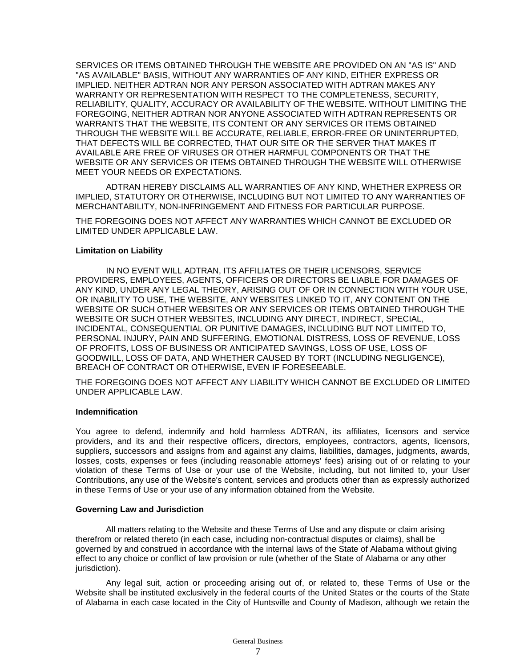SERVICES OR ITEMS OBTAINED THROUGH THE WEBSITE ARE PROVIDED ON AN "AS IS" AND "AS AVAILABLE" BASIS, WITHOUT ANY WARRANTIES OF ANY KIND, EITHER EXPRESS OR IMPLIED. NEITHER ADTRAN NOR ANY PERSON ASSOCIATED WITH ADTRAN MAKES ANY WARRANTY OR REPRESENTATION WITH RESPECT TO THE COMPLETENESS, SECURITY, RELIABILITY, QUALITY, ACCURACY OR AVAILABILITY OF THE WEBSITE. WITHOUT LIMITING THE FOREGOING, NEITHER ADTRAN NOR ANYONE ASSOCIATED WITH ADTRAN REPRESENTS OR WARRANTS THAT THE WEBSITE, ITS CONTENT OR ANY SERVICES OR ITEMS OBTAINED THROUGH THE WEBSITE WILL BE ACCURATE, RELIABLE, ERROR-FREE OR UNINTERRUPTED, THAT DEFECTS WILL BE CORRECTED, THAT OUR SITE OR THE SERVER THAT MAKES IT AVAILABLE ARE FREE OF VIRUSES OR OTHER HARMFUL COMPONENTS OR THAT THE WEBSITE OR ANY SERVICES OR ITEMS OBTAINED THROUGH THE WEBSITE WILL OTHERWISE MEET YOUR NEEDS OR EXPECTATIONS.

ADTRAN HEREBY DISCLAIMS ALL WARRANTIES OF ANY KIND, WHETHER EXPRESS OR IMPLIED, STATUTORY OR OTHERWISE, INCLUDING BUT NOT LIMITED TO ANY WARRANTIES OF MERCHANTABILITY, NON-INFRINGEMENT AND FITNESS FOR PARTICULAR PURPOSE.

THE FOREGOING DOES NOT AFFECT ANY WARRANTIES WHICH CANNOT BE EXCLUDED OR LIMITED UNDER APPLICABLE LAW.

#### **Limitation on Liability**

IN NO EVENT WILL ADTRAN, ITS AFFILIATES OR THEIR LICENSORS, SERVICE PROVIDERS, EMPLOYEES, AGENTS, OFFICERS OR DIRECTORS BE LIABLE FOR DAMAGES OF ANY KIND, UNDER ANY LEGAL THEORY, ARISING OUT OF OR IN CONNECTION WITH YOUR USE, OR INABILITY TO USE, THE WEBSITE, ANY WEBSITES LINKED TO IT, ANY CONTENT ON THE WEBSITE OR SUCH OTHER WEBSITES OR ANY SERVICES OR ITEMS OBTAINED THROUGH THE WEBSITE OR SUCH OTHER WEBSITES, INCLUDING ANY DIRECT, INDIRECT, SPECIAL, INCIDENTAL, CONSEQUENTIAL OR PUNITIVE DAMAGES, INCLUDING BUT NOT LIMITED TO, PERSONAL INJURY, PAIN AND SUFFERING, EMOTIONAL DISTRESS, LOSS OF REVENUE, LOSS OF PROFITS, LOSS OF BUSINESS OR ANTICIPATED SAVINGS, LOSS OF USE, LOSS OF GOODWILL, LOSS OF DATA, AND WHETHER CAUSED BY TORT (INCLUDING NEGLIGENCE), BREACH OF CONTRACT OR OTHERWISE, EVEN IF FORESEEABLE.

THE FOREGOING DOES NOT AFFECT ANY LIABILITY WHICH CANNOT BE EXCLUDED OR LIMITED UNDER APPLICABLE LAW.

## **Indemnification**

You agree to defend, indemnify and hold harmless ADTRAN, its affiliates, licensors and service providers, and its and their respective officers, directors, employees, contractors, agents, licensors, suppliers, successors and assigns from and against any claims, liabilities, damages, judgments, awards, losses, costs, expenses or fees (including reasonable attorneys' fees) arising out of or relating to your violation of these Terms of Use or your use of the Website, including, but not limited to, your User Contributions, any use of the Website's content, services and products other than as expressly authorized in these Terms of Use or your use of any information obtained from the Website.

## **Governing Law and Jurisdiction**

All matters relating to the Website and these Terms of Use and any dispute or claim arising therefrom or related thereto (in each case, including non-contractual disputes or claims), shall be governed by and construed in accordance with the internal laws of the State of Alabama without giving effect to any choice or conflict of law provision or rule (whether of the State of Alabama or any other jurisdiction).

Any legal suit, action or proceeding arising out of, or related to, these Terms of Use or the Website shall be instituted exclusively in the federal courts of the United States or the courts of the State of Alabama in each case located in the City of Huntsville and County of Madison, although we retain the